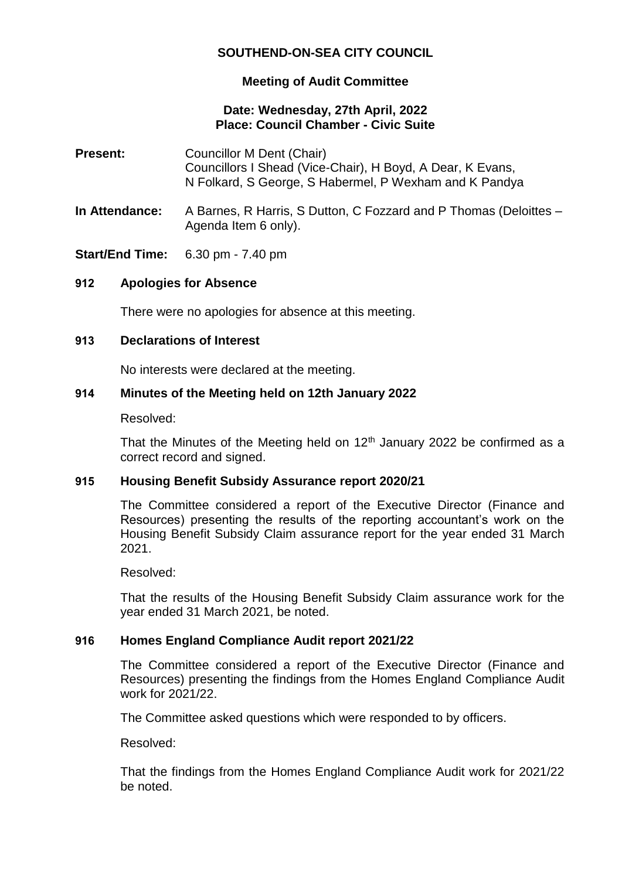# **SOUTHEND-ON-SEA CITY COUNCIL**

# **Meeting of Audit Committee**

## **Date: Wednesday, 27th April, 2022 Place: Council Chamber - Civic Suite**

- **Present:** Councillor M Dent (Chair) Councillors I Shead (Vice-Chair), H Boyd, A Dear, K Evans, N Folkard, S George, S Habermel, P Wexham and K Pandya
- **In Attendance:** A Barnes, R Harris, S Dutton, C Fozzard and P Thomas (Deloittes Agenda Item 6 only).

**Start/End Time:** 6.30 pm - 7.40 pm

### **912 Apologies for Absence**

There were no apologies for absence at this meeting.

### **913 Declarations of Interest**

No interests were declared at the meeting.

### **914 Minutes of the Meeting held on 12th January 2022**

Resolved:

That the Minutes of the Meeting held on  $12<sup>th</sup>$  January 2022 be confirmed as a correct record and signed.

#### **915 Housing Benefit Subsidy Assurance report 2020/21**

The Committee considered a report of the Executive Director (Finance and Resources) presenting the results of the reporting accountant's work on the Housing Benefit Subsidy Claim assurance report for the year ended 31 March 2021.

Resolved:

That the results of the Housing Benefit Subsidy Claim assurance work for the year ended 31 March 2021, be noted.

# **916 Homes England Compliance Audit report 2021/22**

The Committee considered a report of the Executive Director (Finance and Resources) presenting the findings from the Homes England Compliance Audit work for 2021/22.

The Committee asked questions which were responded to by officers.

Resolved:

That the findings from the Homes England Compliance Audit work for 2021/22 be noted.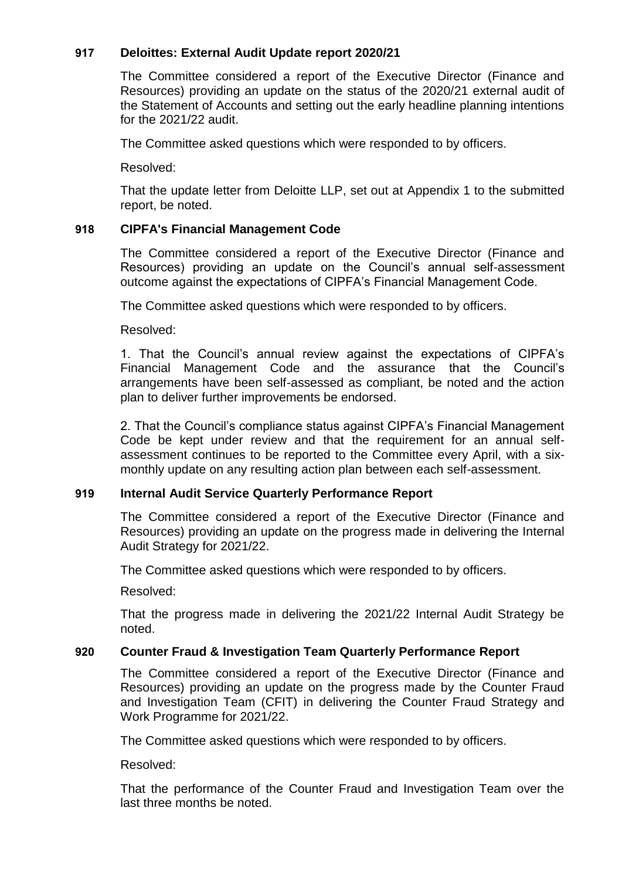# **917 Deloittes: External Audit Update report 2020/21**

The Committee considered a report of the Executive Director (Finance and Resources) providing an update on the status of the 2020/21 external audit of the Statement of Accounts and setting out the early headline planning intentions for the 2021/22 audit.

The Committee asked questions which were responded to by officers.

Resolved:

That the update letter from Deloitte LLP, set out at Appendix 1 to the submitted report, be noted.

# **918 CIPFA's Financial Management Code**

The Committee considered a report of the Executive Director (Finance and Resources) providing an update on the Council's annual self-assessment outcome against the expectations of CIPFA's Financial Management Code.

The Committee asked questions which were responded to by officers.

Resolved:

1. That the Council's annual review against the expectations of CIPFA's Financial Management Code and the assurance that the Council's arrangements have been self-assessed as compliant, be noted and the action plan to deliver further improvements be endorsed.

2. That the Council's compliance status against CIPFA's Financial Management Code be kept under review and that the requirement for an annual selfassessment continues to be reported to the Committee every April, with a sixmonthly update on any resulting action plan between each self-assessment.

#### **919 Internal Audit Service Quarterly Performance Report**

The Committee considered a report of the Executive Director (Finance and Resources) providing an update on the progress made in delivering the Internal Audit Strategy for 2021/22.

The Committee asked questions which were responded to by officers.

Resolved:

That the progress made in delivering the 2021/22 Internal Audit Strategy be noted.

#### **920 Counter Fraud & Investigation Team Quarterly Performance Report**

The Committee considered a report of the Executive Director (Finance and Resources) providing an update on the progress made by the Counter Fraud and Investigation Team (CFIT) in delivering the Counter Fraud Strategy and Work Programme for 2021/22.

The Committee asked questions which were responded to by officers.

Resolved:

That the performance of the Counter Fraud and Investigation Team over the last three months be noted.